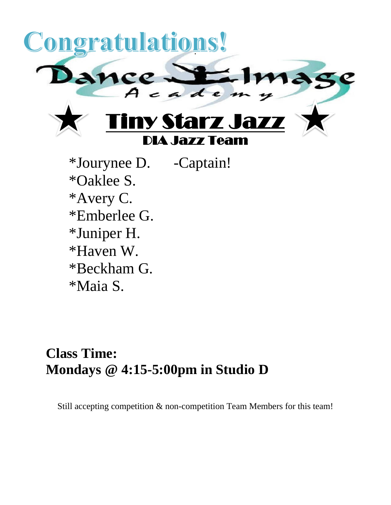

\*Jourynee D. -Captain! \*Oaklee S. \*Avery C. \*Emberlee G. \*Juniper H. \*Haven W. \*Beckham G. \*Maia S.

## **Class Time: Mondays @ 4:15-5:00pm in Studio D**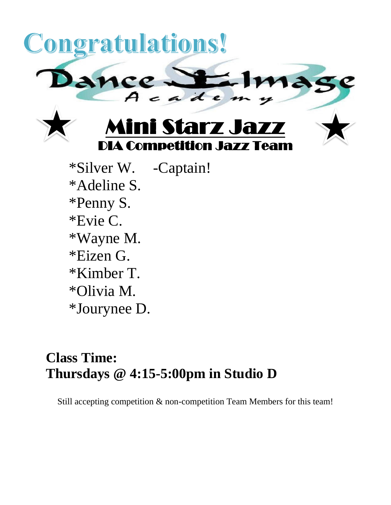

- \*Olivia M.
- \*Jourynee D.

## **Class Time: Thursdays @ 4:15-5:00pm in Studio D**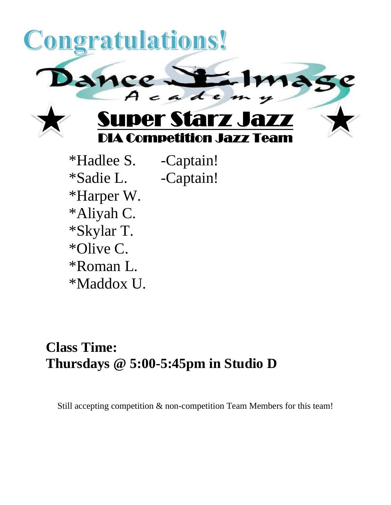

\*Hadlee S. -Captain! \*Sadie L. -Captain! \*Harper W. \*Aliyah C. \*Skylar T. \*Olive C. \*Roman L. \*Maddox U.

## **Class Time: Thursdays @ 5:00-5:45pm in Studio D**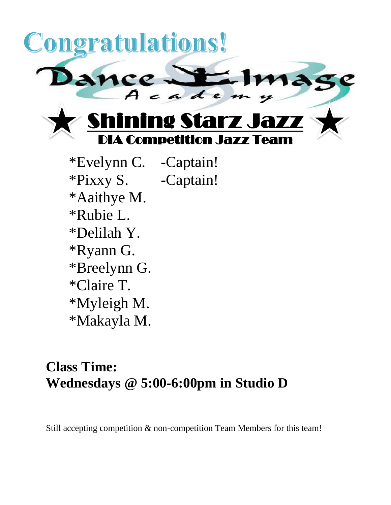

\*Evelynn C. -Captain! \*Pixxy S. -Captain! \*Aaithye M. \*Rubie L. \*Delilah Y. \*Ryann G. \*Breelynn G. \*Claire T. \*Myleigh M. \*Makayla M.

## **Class Time: Wednesdays @ 5:00-6:00pm in Studio D**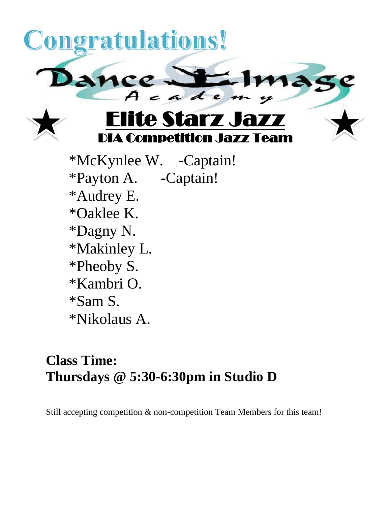

\*Nikolaus A.

# **Class Time: Thursdays @ 5:30-6:30pm in Studio D**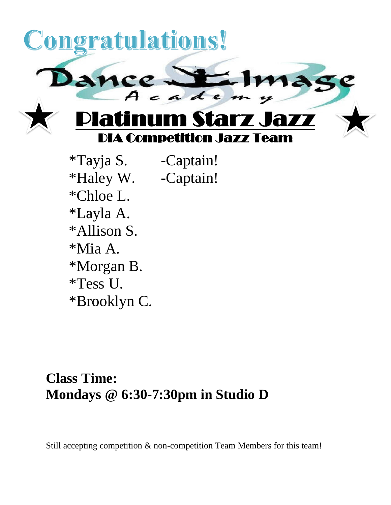

\*Tayja S. -Captain! \*Haley W. -Captain! \*Chloe L. \*Layla A. \*Allison S. \*Mia A. \*Morgan B. \*Tess U. \*Brooklyn C.

### **Class Time: Mondays @ 6:30-7:30pm in Studio D**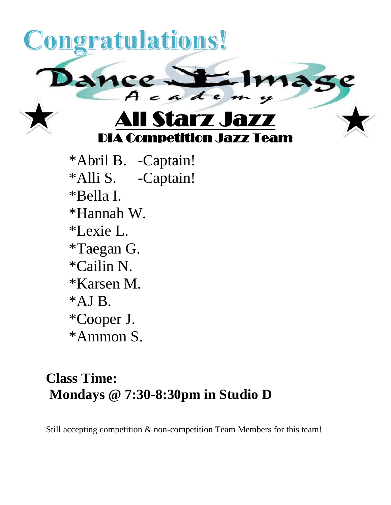

\*Ammon S.

## **Class Time: Mondays @ 7:30-8:30pm in Studio D**